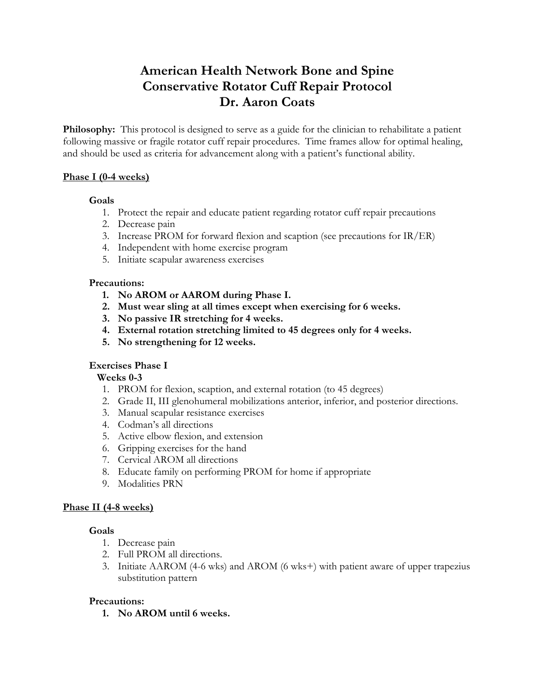# **American Health Network Bone and Spine Conservative Rotator Cuff Repair Protocol Dr. Aaron Coats**

**Philosophy:** This protocol is designed to serve as a guide for the clinician to rehabilitate a patient following massive or fragile rotator cuff repair procedures. Time frames allow for optimal healing, and should be used as criteria for advancement along with a patient's functional ability.

# **Phase I (0-4 weeks)**

#### **Goals**

- 1. Protect the repair and educate patient regarding rotator cuff repair precautions
- 2. Decrease pain
- 3. Increase PROM for forward flexion and scaption (see precautions for IR/ER)
- 4. Independent with home exercise program
- 5. Initiate scapular awareness exercises

#### **Precautions:**

- **1. No AROM or AAROM during Phase I.**
- **2. Must wear sling at all times except when exercising for 6 weeks.**
- **3. No passive IR stretching for 4 weeks.**
- **4. External rotation stretching limited to 45 degrees only for 4 weeks.**
- **5. No strengthening for 12 weeks.**

#### **Exercises Phase I**

#### **Weeks 0-3**

- 1. PROM for flexion, scaption, and external rotation (to 45 degrees)
- 2. Grade II, III glenohumeral mobilizations anterior, inferior, and posterior directions.
- 3. Manual scapular resistance exercises
- 4. Codman's all directions
- 5. Active elbow flexion, and extension
- 6. Gripping exercises for the hand
- 7. Cervical AROM all directions
- 8. Educate family on performing PROM for home if appropriate
- 9. Modalities PRN

#### **Phase II (4-8 weeks)**

#### **Goals**

- 1. Decrease pain
- 2. Full PROM all directions.
- 3. Initiate AAROM (4-6 wks) and AROM (6 wks+) with patient aware of upper trapezius substitution pattern

#### **Precautions:**

**1. No AROM until 6 weeks.**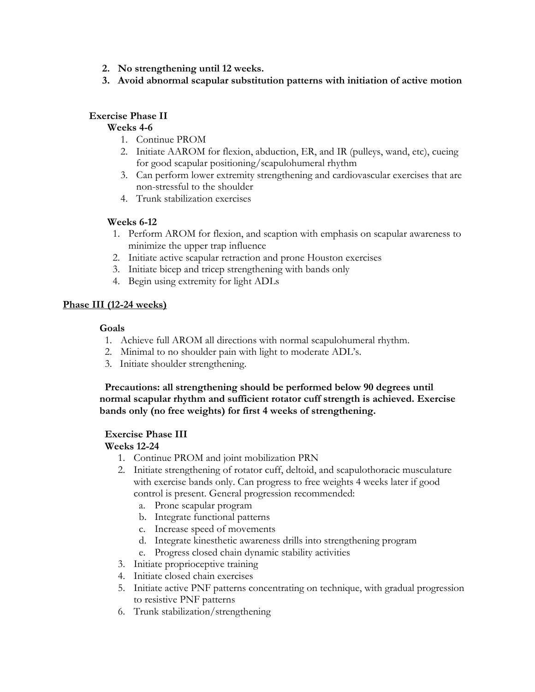- **2. No strengthening until 12 weeks.**
- **3. Avoid abnormal scapular substitution patterns with initiation of active motion**

# **Exercise Phase II**

#### **Weeks 4-6**

- 1. Continue PROM
- 2. Initiate AAROM for flexion, abduction, ER, and IR (pulleys, wand, etc), cueing for good scapular positioning/scapulohumeral rhythm
- 3. Can perform lower extremity strengthening and cardiovascular exercises that are non-stressful to the shoulder
- 4. Trunk stabilization exercises

#### **Weeks 6-12**

- 1. Perform AROM for flexion, and scaption with emphasis on scapular awareness to minimize the upper trap influence
- 2. Initiate active scapular retraction and prone Houston exercises
- 3. Initiate bicep and tricep strengthening with bands only
- 4. Begin using extremity for light ADLs

#### **Phase III (12-24 weeks)**

#### **Goals**

- 1. Achieve full AROM all directions with normal scapulohumeral rhythm.
- 2. Minimal to no shoulder pain with light to moderate ADL's.
- 3. Initiate shoulder strengthening.

**Precautions: all strengthening should be performed below 90 degrees until normal scapular rhythm and sufficient rotator cuff strength is achieved. Exercise bands only (no free weights) for first 4 weeks of strengthening.**

#### **Exercise Phase III**

#### **Weeks 12-24**

- 1. Continue PROM and joint mobilization PRN
- 2. Initiate strengthening of rotator cuff, deltoid, and scapulothoracic musculature with exercise bands only. Can progress to free weights 4 weeks later if good control is present. General progression recommended:
	- a. Prone scapular program
	- b. Integrate functional patterns
	- c. Increase speed of movements
	- d. Integrate kinesthetic awareness drills into strengthening program
	- e. Progress closed chain dynamic stability activities
- 3. Initiate proprioceptive training
- 4. Initiate closed chain exercises
- 5. Initiate active PNF patterns concentrating on technique, with gradual progression to resistive PNF patterns
- 6. Trunk stabilization/strengthening